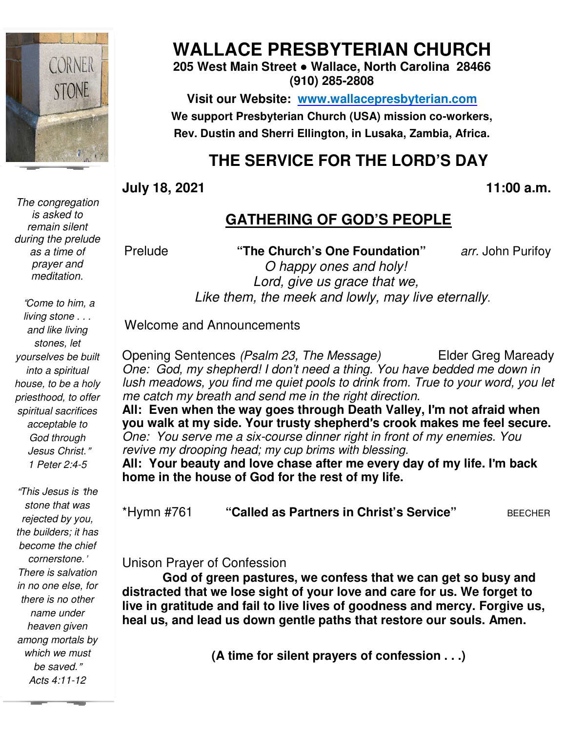

*The congregation is asked to remain silent during the prelude as a time of prayer and meditation.* 

"*Come to him, a living stone . . . and like living stones, let yourselves be built into a spiritual house, to be a holy priesthood, to offer spiritual sacrifices acceptable to God through Jesus Christ.*" *1 Peter 2:4-5* 

 *among mortals by*  "*This Jesus is* '*the stone that was rejected by you, the builders; it has become the chief cornerstone.*' *There is salvation in no one else, for there is no other name under heaven given which we must be saved.*" *Acts 4:11-12* 

# **WALLACE PRESBYTERIAN CHURCH**

**205 West Main Street ● Wallace, North Carolina 28466 (910) 285-2808** 

**Visit our Website: www.wallacepresbyterian.com** We support Presbyterian Church (USA) mission co-workers, Rev. Dustin and Sherri Ellington, in Lusaka, Zambia, Africa.

# **THE SERVICE FOR THE LORD'S DAY**

### **July 18, 2021 , 11:00**

# **GATHERING OF GOD'S PEOPLE**

Prelude **"The Church's One Foundation"**  *Lord, give us grace that we, us grace* Like them, the meek and lowly, may live eternally. *arr.* John Purifoy *O happy ones and holy!* 

Welcome and Announcements

Opening Sentences *(Psalm 23, One: God, my shepherd! I don't need a thing. You have bedded me down in lush meadows, you find me quiet pools to drink from. True to your word, you let me catch my breath and send me in the right direction. The Message)* Elder Greg Maready Maready *One: God, my shepherd! I don't need a thing. You have bedded lush meadows, you find me quiet pools to drink from. True to you me catch my breath and send me in the right direction.* 

**All: Even when the way goes through Death Valley, I Death** '**m not afraid when you walk at my side. Your trusty shepherd** '**s crook makes me feel secu crook secure.**  *One: You serve me a six-course dinner right in front of my enemies. You revive my drooping head; revive my my cup brims with blessing.*  11:00 a.m.<br> **(GATHERING OF GOD'S PEOPLE**<br>
"The Church's One Foundation" arr. John Purifoy<br> *Chappy ones and holy!*<br> *Lord, give us grace that we,*<br> *e them, the meek and lowly, may live eternally.*<br>
Announcements<br>
reces (

All: Your beauty and love chase after me every day of my life. I'm back

**home in the house of God for the rest of my life.<br>\*Hymn #761 "<b>Called as Partners in Christ's Service"** BEECHER \*Hymn #761 **"Called as Partners in Christ's Service**

## Unison Prayer of Confession Unison Prayer of

**God of green pastures, we confess that we can get so busy and distracted that we lose sight of your love and care for us. We forget to live in gratitude and fail to live lives heal us, and lead us down gentle paths that restore our souls. Amen.** God of green pastures, we confess that we can get so busy and<br>ted that we lose sight of your love and care for us. We forget to<br>gratitude and fail to live lives of goodness and mercy. Forgive us, at we lose sight of your love and care for us.<br>ɪde and fail to live lives of goodness and mer**<br>lead us down gentle paths that restore** our so

**(A time for silent prayers of confession . . .)**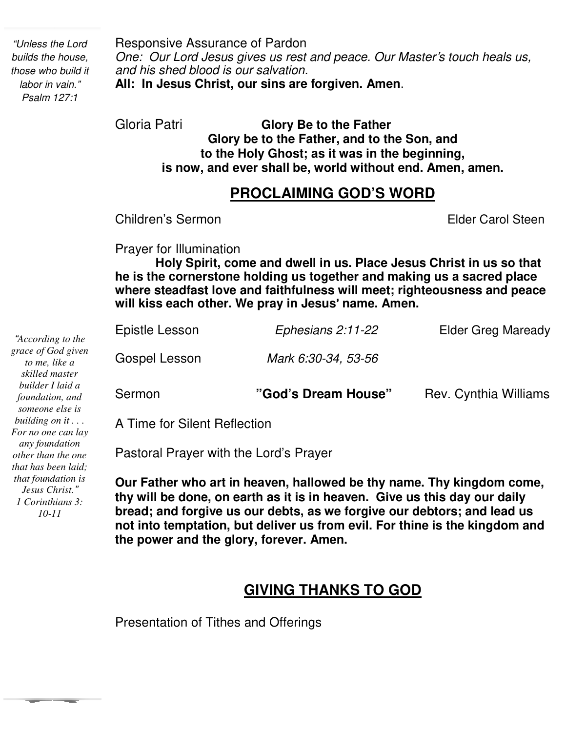*"Unless the Lord builds the house, those who build it labor in vain." Psalm 127:1*

Responsive Assurance of Pardon *One: Our Lord Jesus gives us rest and peace. Our Master*'*s touch heals us, and his shed blood is our salvation.* **All: In Jesus Christ, our sins are forgiven. Amen**.

Gloria Patri **Glory Be to the Father Glory be to the Father, and to the Son, and to the Holy Ghost; as it was in the beginning, is now, and ever shall be, world without end. Amen, amen.** 

# **PROCLAIMING GOD'S WORD**

**Children's Sermon Elder Carol Steen** 

Prayer for Illumination

 **where steadfast love and faithfulness will meet; righteousness and peace will kiss each other. We pray in Jesus**' **name. Amen. Holy Spirit, come and dwell in us. Place Jesus Christ in us so that he is the cornerstone holding us together and making us a sacred place** 

| Sermon         | "God's Dream House" | Rev. Cynthia Williams |
|----------------|---------------------|-----------------------|
| Gospel Lesson  | Mark 6:30-34, 53-56 |                       |
| Epistle Lesson | Ephesians 2:11-22   | Elder Greg Maready    |

A Time for Silent Reflection

Pastoral Prayer with the Lord's Prayer

**Our Father who art in heaven, hallowed be thy name. Thy kingdom come, thy will be done, on earth as it is in heaven. Give us this day our daily bread; and forgive us our debts, as we forgive our debtors; and lead us not into temptation, but deliver us from evil. For thine is the kingdom and the power and the glory, forever. Amen.**

# **GIVING THANKS TO GOD**

Presentation of Tithes and Offerings

*"According to the grace of God given to me, like a skilled master builder I laid a foundation, and someone else is building on it . . . For no one can lay any foundation other than the one that has been laid; that foundation is Jesus Christ." 1 Corinthians 3: 10-11*

**The Color**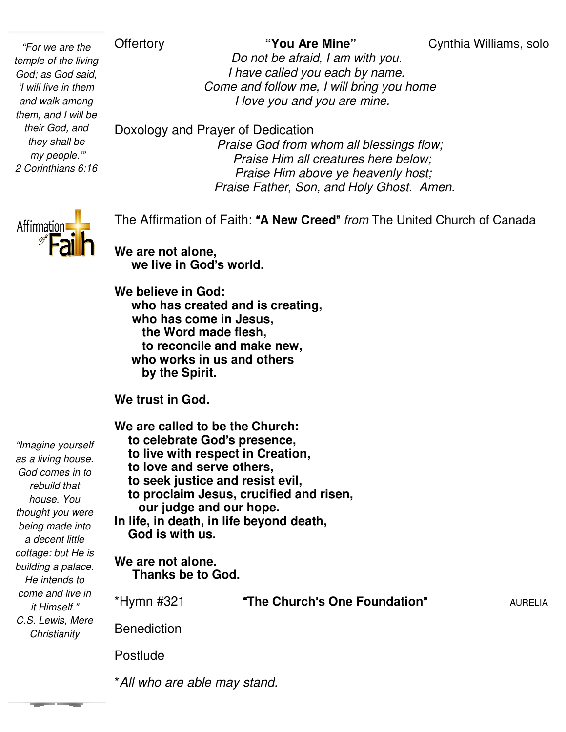**Offertory** 

*"For we are the temple of the living God; as God said, 'I will live in them and walk among them, and I will be their God, and they shall be my people.'" 2 Corinthians 6:16*

 *Do not be afraid, I am with you. I have called you each by name. Come and follow me, I will bring you home I love you and you are mine mine.*

Doxology and Prayer of Dedication

 *Praise God from whom all blessings flow; Praise Him all creatures here below; Praise Him above ye heavenly host Praise here host; Praise Father, Son, and Holy Ghost. Amen Amen.* 



The Affirmation of Faith: " "**A New Creed**" *from* The United Church of Canada

**We are not alone, we live in God**'**s world.**

**We believe in God: who has created and is creating, who has come in Jesus, the Word made flesh, to reconcile and make new, who works in us and others by the Spirit.**  to reconcile and make new,<br>
who works in us and others<br>
by the Spirit.<br>We trust in God.<br>We are called to be the Church: ho has created and is<br>ho has come in Jesus<br>the Word made flesh,

**We trust in God.** 

 **to celebrate God**'**s presence, to live with respect in Creation, to love and serve others, to seek justice and resist evil, to proclaim Jesus, crucified and risen, our judge and our hope.** In life, in death, in life beyond death,  **God is with us. We are not alone. Thanks be to God.**  \*Hymn #321 "**The Church Benediction** Postlude *"Imagine yourself as a living house. God comes in to rebuild that house. You thought you were being made into a decent little cottage: but He is building a palace. He intends to come and live in it Himself." C.S. Lewis, Mere Christianity* **"The Church's One Foundation"** AURELIA

\**All who are able may stand All stand.*